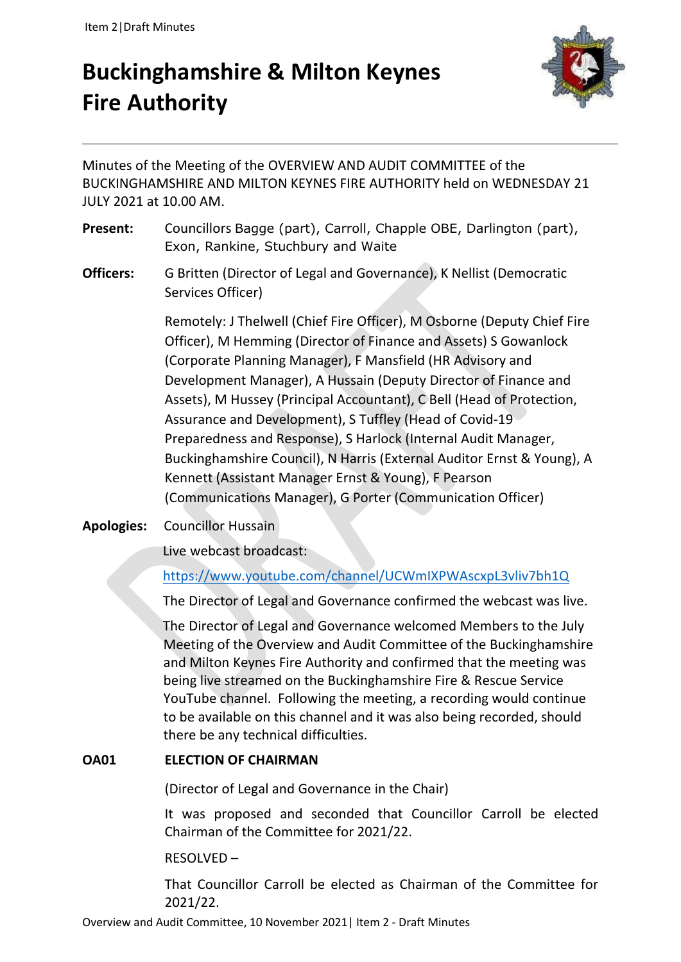# **Buckinghamshire & Milton Keynes Fire Authority**



Minutes of the Meeting of the OVERVIEW AND AUDIT COMMITTEE of the BUCKINGHAMSHIRE AND MILTON KEYNES FIRE AUTHORITY held on WEDNESDAY 21 JULY 2021 at 10.00 AM.

- **Present:** Councillors Bagge (part), Carroll, Chapple OBE, Darlington (part), Exon, Rankine, Stuchbury and Waite
- **Officers:** G Britten (Director of Legal and Governance), K Nellist (Democratic Services Officer)

Remotely: J Thelwell (Chief Fire Officer), M Osborne (Deputy Chief Fire Officer), M Hemming (Director of Finance and Assets) S Gowanlock (Corporate Planning Manager), F Mansfield (HR Advisory and Development Manager), A Hussain (Deputy Director of Finance and Assets), M Hussey (Principal Accountant), C Bell (Head of Protection, Assurance and Development), S Tuffley (Head of Covid-19 Preparedness and Response), S Harlock (Internal Audit Manager, Buckinghamshire Council), N Harris (External Auditor Ernst & Young), A Kennett (Assistant Manager Ernst & Young), F Pearson (Communications Manager), G Porter (Communication Officer)

**Apologies:** Councillor Hussain

Live webcast broadcast:

# <https://www.youtube.com/channel/UCWmIXPWAscxpL3vliv7bh1Q>

The Director of Legal and Governance confirmed the webcast was live.

 The Director of Legal and Governance welcomed Members to the July Meeting of the Overview and Audit Committee of the Buckinghamshire and Milton Keynes Fire Authority and confirmed that the meeting was being live streamed on the Buckinghamshire Fire & Rescue Service YouTube channel. Following the meeting, a recording would continue to be available on this channel and it was also being recorded, should there be any technical difficulties.

## **OA01 ELECTION OF CHAIRMAN**

(Director of Legal and Governance in the Chair)

It was proposed and seconded that Councillor Carroll be elected Chairman of the Committee for 2021/22.

## RESOLVED –

That Councillor Carroll be elected as Chairman of the Committee for 2021/22.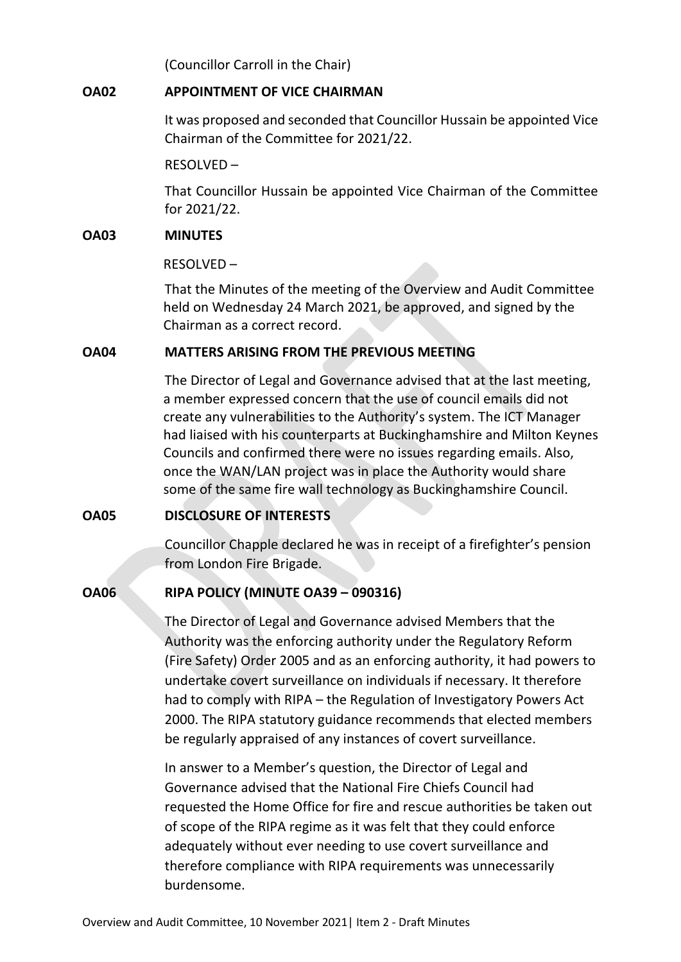(Councillor Carroll in the Chair)

### **OA02 APPOINTMENT OF VICE CHAIRMAN**

It was proposed and seconded that Councillor Hussain be appointed Vice Chairman of the Committee for 2021/22.

RESOLVED –

That Councillor Hussain be appointed Vice Chairman of the Committee for 2021/22.

#### **OA03 MINUTES**

RESOLVED –

That the Minutes of the meeting of the Overview and Audit Committee held on Wednesday 24 March 2021, be approved, and signed by the Chairman as a correct record.

## **OA04 MATTERS ARISING FROM THE PREVIOUS MEETING**

The Director of Legal and Governance advised that at the last meeting, a member expressed concern that the use of council emails did not create any vulnerabilities to the Authority's system. The ICT Manager had liaised with his counterparts at Buckinghamshire and Milton Keynes Councils and confirmed there were no issues regarding emails. Also, once the WAN/LAN project was in place the Authority would share some of the same fire wall technology as Buckinghamshire Council.

## **OA05 DISCLOSURE OF INTERESTS**

Councillor Chapple declared he was in receipt of a firefighter's pension from London Fire Brigade.

## **OA06 RIPA POLICY (MINUTE OA39 – 090316)**

The Director of Legal and Governance advised Members that the Authority was the enforcing authority under the Regulatory Reform (Fire Safety) Order 2005 and as an enforcing authority, it had powers to undertake covert surveillance on individuals if necessary. It therefore had to comply with RIPA – the Regulation of Investigatory Powers Act 2000. The RIPA statutory guidance recommends that elected members be regularly appraised of any instances of covert surveillance.

In answer to a Member's question, the Director of Legal and Governance advised that the National Fire Chiefs Council had requested the Home Office for fire and rescue authorities be taken out of scope of the RIPA regime as it was felt that they could enforce adequately without ever needing to use covert surveillance and therefore compliance with RIPA requirements was unnecessarily burdensome.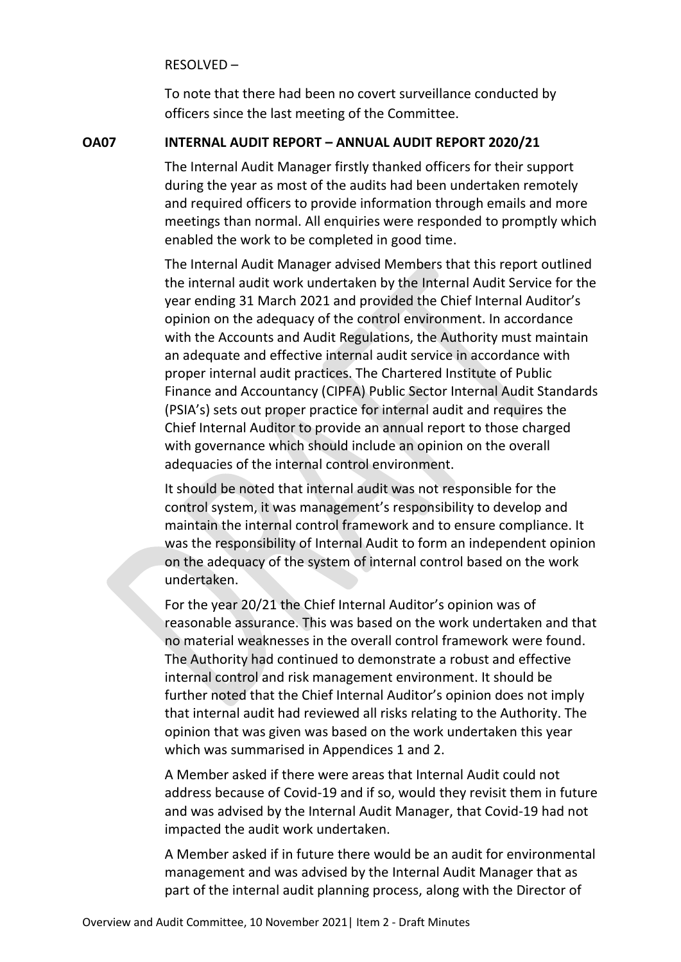RESOLVED –

To note that there had been no covert surveillance conducted by officers since the last meeting of the Committee.

#### **OA07 INTERNAL AUDIT REPORT – ANNUAL AUDIT REPORT 2020/21**

The Internal Audit Manager firstly thanked officers for their support during the year as most of the audits had been undertaken remotely and required officers to provide information through emails and more meetings than normal. All enquiries were responded to promptly which enabled the work to be completed in good time.

The Internal Audit Manager advised Members that this report outlined the internal audit work undertaken by the Internal Audit Service for the year ending 31 March 2021 and provided the Chief Internal Auditor's opinion on the adequacy of the control environment. In accordance with the Accounts and Audit Regulations, the Authority must maintain an adequate and effective internal audit service in accordance with proper internal audit practices. The Chartered Institute of Public Finance and Accountancy (CIPFA) Public Sector Internal Audit Standards (PSIA's) sets out proper practice for internal audit and requires the Chief Internal Auditor to provide an annual report to those charged with governance which should include an opinion on the overall adequacies of the internal control environment.

It should be noted that internal audit was not responsible for the control system, it was management's responsibility to develop and maintain the internal control framework and to ensure compliance. It was the responsibility of Internal Audit to form an independent opinion on the adequacy of the system of internal control based on the work undertaken.

For the year 20/21 the Chief Internal Auditor's opinion was of reasonable assurance. This was based on the work undertaken and that no material weaknesses in the overall control framework were found. The Authority had continued to demonstrate a robust and effective internal control and risk management environment. It should be further noted that the Chief Internal Auditor's opinion does not imply that internal audit had reviewed all risks relating to the Authority. The opinion that was given was based on the work undertaken this year which was summarised in Appendices 1 and 2.

A Member asked if there were areas that Internal Audit could not address because of Covid-19 and if so, would they revisit them in future and was advised by the Internal Audit Manager, that Covid-19 had not impacted the audit work undertaken.

A Member asked if in future there would be an audit for environmental management and was advised by the Internal Audit Manager that as part of the internal audit planning process, along with the Director of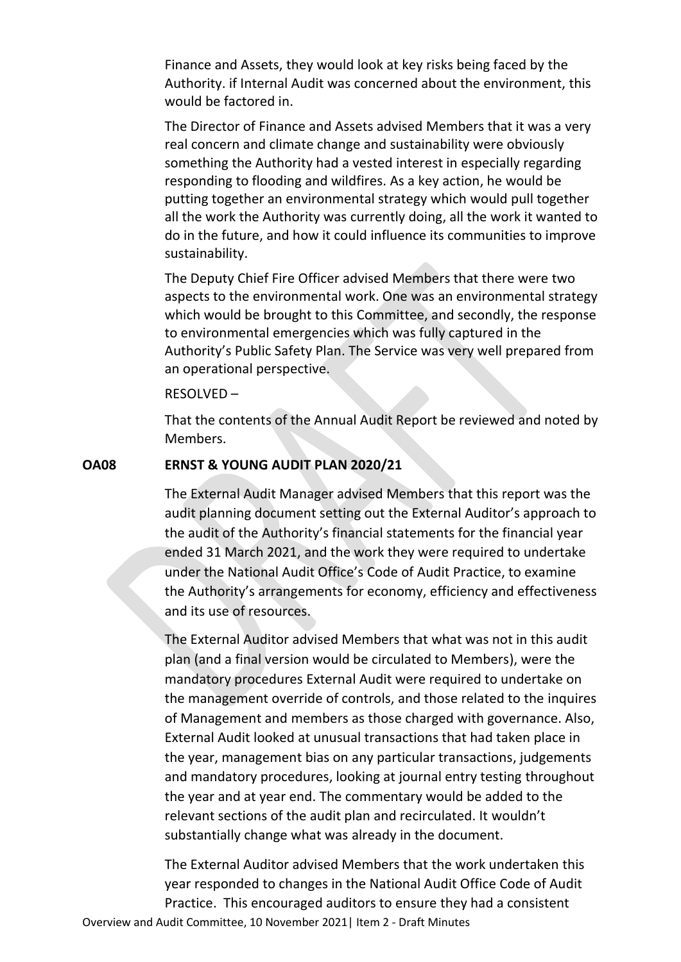Finance and Assets, they would look at key risks being faced by the Authority. if Internal Audit was concerned about the environment, this would be factored in.

The Director of Finance and Assets advised Members that it was a very real concern and climate change and sustainability were obviously something the Authority had a vested interest in especially regarding responding to flooding and wildfires. As a key action, he would be putting together an environmental strategy which would pull together all the work the Authority was currently doing, all the work it wanted to do in the future, and how it could influence its communities to improve sustainability.

The Deputy Chief Fire Officer advised Members that there were two aspects to the environmental work. One was an environmental strategy which would be brought to this Committee, and secondly, the response to environmental emergencies which was fully captured in the Authority's Public Safety Plan. The Service was very well prepared from an operational perspective.

#### RESOLVED –

That the contents of the Annual Audit Report be reviewed and noted by Members.

#### **OA08 ERNST & YOUNG AUDIT PLAN 2020/21**

The External Audit Manager advised Members that this report was the audit planning document setting out the External Auditor's approach to the audit of the Authority's financial statements for the financial year ended 31 March 2021, and the work they were required to undertake under the National Audit Office's Code of Audit Practice, to examine the Authority's arrangements for economy, efficiency and effectiveness and its use of resources.

The External Auditor advised Members that what was not in this audit plan (and a final version would be circulated to Members), were the mandatory procedures External Audit were required to undertake on the management override of controls, and those related to the inquires of Management and members as those charged with governance. Also, External Audit looked at unusual transactions that had taken place in the year, management bias on any particular transactions, judgements and mandatory procedures, looking at journal entry testing throughout the year and at year end. The commentary would be added to the relevant sections of the audit plan and recirculated. It wouldn't substantially change what was already in the document.

Overview and Audit Committee, 10 November 2021| Item 2 - Draft Minutes The External Auditor advised Members that the work undertaken this year responded to changes in the National Audit Office Code of Audit Practice. This encouraged auditors to ensure they had a consistent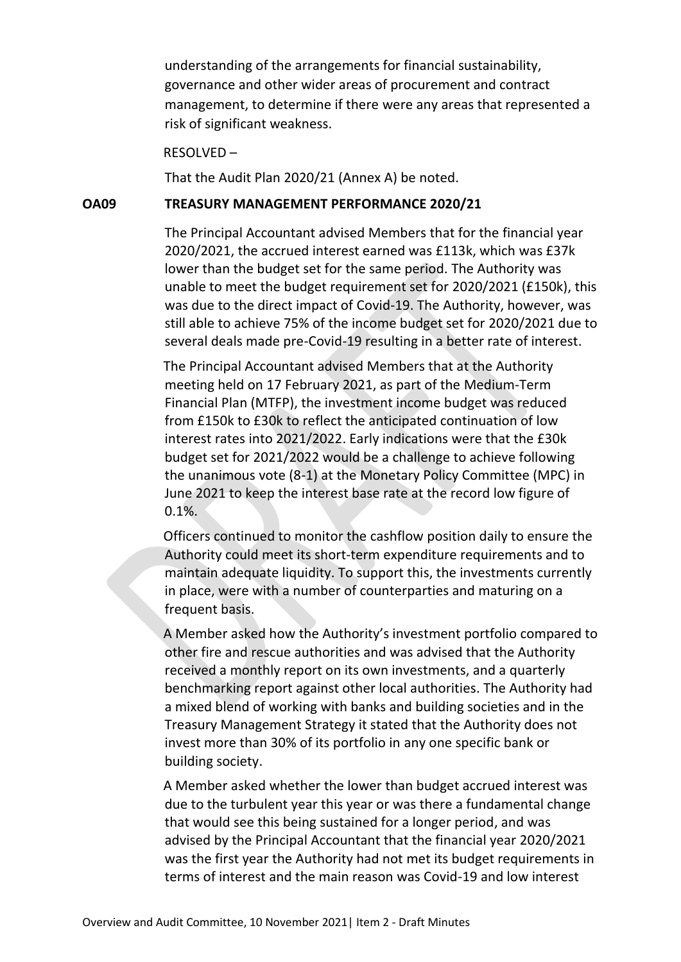understanding of the arrangements for financial sustainability, governance and other wider areas of procurement and contract management, to determine if there were any areas that represented a risk of significant weakness.

#### RESOLVED –

That the Audit Plan 2020/21 (Annex A) be noted.

#### **OA09 TREASURY MANAGEMENT PERFORMANCE 2020/21**

The Principal Accountant advised Members that for the financial year 2020/2021, the accrued interest earned was £113k, which was £37k lower than the budget set for the same period. The Authority was unable to meet the budget requirement set for 2020/2021 (£150k), this was due to the direct impact of Covid-19. The Authority, however, was still able to achieve 75% of the income budget set for 2020/2021 due to several deals made pre-Covid-19 resulting in a better rate of interest.

The Principal Accountant advised Members that at the Authority meeting held on 17 February 2021, as part of the Medium-Term Financial Plan (MTFP), the investment income budget was reduced from £150k to £30k to reflect the anticipated continuation of low interest rates into 2021/2022. Early indications were that the £30k budget set for 2021/2022 would be a challenge to achieve following the unanimous vote (8-1) at the Monetary Policy Committee (MPC) in June 2021 to keep the interest base rate at the record low figure of 0.1%.

Officers continued to monitor the cashflow position daily to ensure the Authority could meet its short-term expenditure requirements and to maintain adequate liquidity. To support this, the investments currently in place, were with a number of counterparties and maturing on a frequent basis.

A Member asked how the Authority's investment portfolio compared to other fire and rescue authorities and was advised that the Authority received a monthly report on its own investments, and a quarterly benchmarking report against other local authorities. The Authority had a mixed blend of working with banks and building societies and in the Treasury Management Strategy it stated that the Authority does not invest more than 30% of its portfolio in any one specific bank or building society.

A Member asked whether the lower than budget accrued interest was due to the turbulent year this year or was there a fundamental change that would see this being sustained for a longer period, and was advised by the Principal Accountant that the financial year 2020/2021 was the first year the Authority had not met its budget requirements in terms of interest and the main reason was Covid-19 and low interest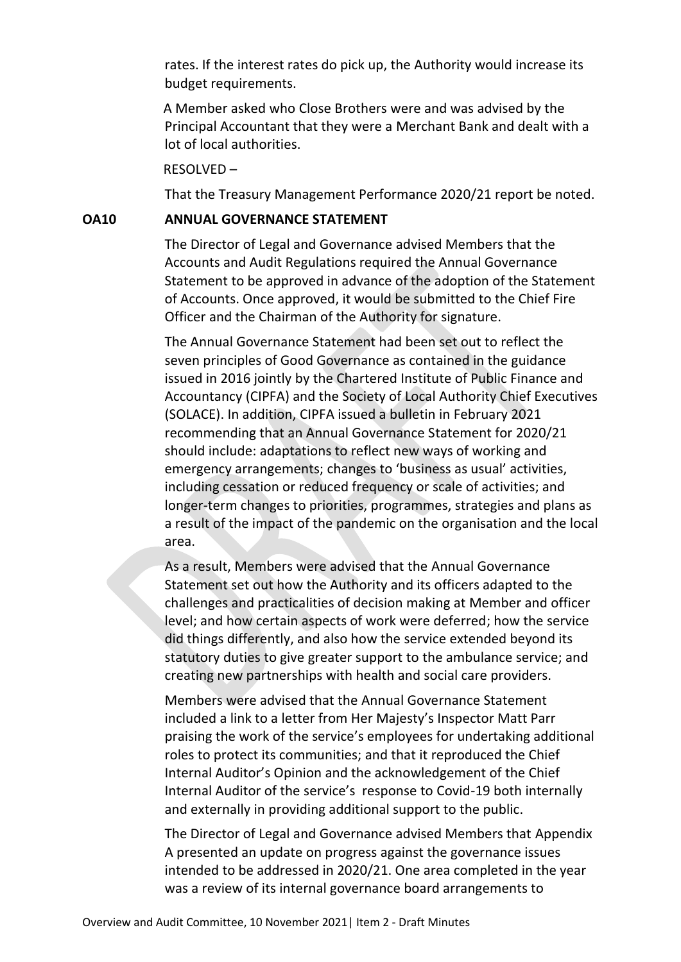rates. If the interest rates do pick up, the Authority would increase its budget requirements.

A Member asked who Close Brothers were and was advised by the Principal Accountant that they were a Merchant Bank and dealt with a lot of local authorities.

#### RESOLVED –

That the Treasury Management Performance 2020/21 report be noted.

### **OA10 ANNUAL GOVERNANCE STATEMENT**

The Director of Legal and Governance advised Members that the Accounts and Audit Regulations required the Annual Governance Statement to be approved in advance of the adoption of the Statement of Accounts. Once approved, it would be submitted to the Chief Fire Officer and the Chairman of the Authority for signature.

The Annual Governance Statement had been set out to reflect the seven principles of Good Governance as contained in the guidance issued in 2016 jointly by the Chartered Institute of Public Finance and Accountancy (CIPFA) and the Society of Local Authority Chief Executives (SOLACE). In addition, CIPFA issued a bulletin in February 2021 recommending that an Annual Governance Statement for 2020/21 should include: adaptations to reflect new ways of working and emergency arrangements; changes to 'business as usual' activities, including cessation or reduced frequency or scale of activities; and longer-term changes to priorities, programmes, strategies and plans as a result of the impact of the pandemic on the organisation and the local area.

As a result, Members were advised that the Annual Governance Statement set out how the Authority and its officers adapted to the challenges and practicalities of decision making at Member and officer level; and how certain aspects of work were deferred; how the service did things differently, and also how the service extended beyond its statutory duties to give greater support to the ambulance service; and creating new partnerships with health and social care providers.

Members were advised that the Annual Governance Statement included a link to a letter from Her Majesty's Inspector Matt Parr praising the work of the service's employees for undertaking additional roles to protect its communities; and that it reproduced the Chief Internal Auditor's Opinion and the acknowledgement of the Chief Internal Auditor of the service's response to Covid-19 both internally and externally in providing additional support to the public.

The Director of Legal and Governance advised Members that Appendix A presented an update on progress against the governance issues intended to be addressed in 2020/21. One area completed in the year was a review of its internal governance board arrangements to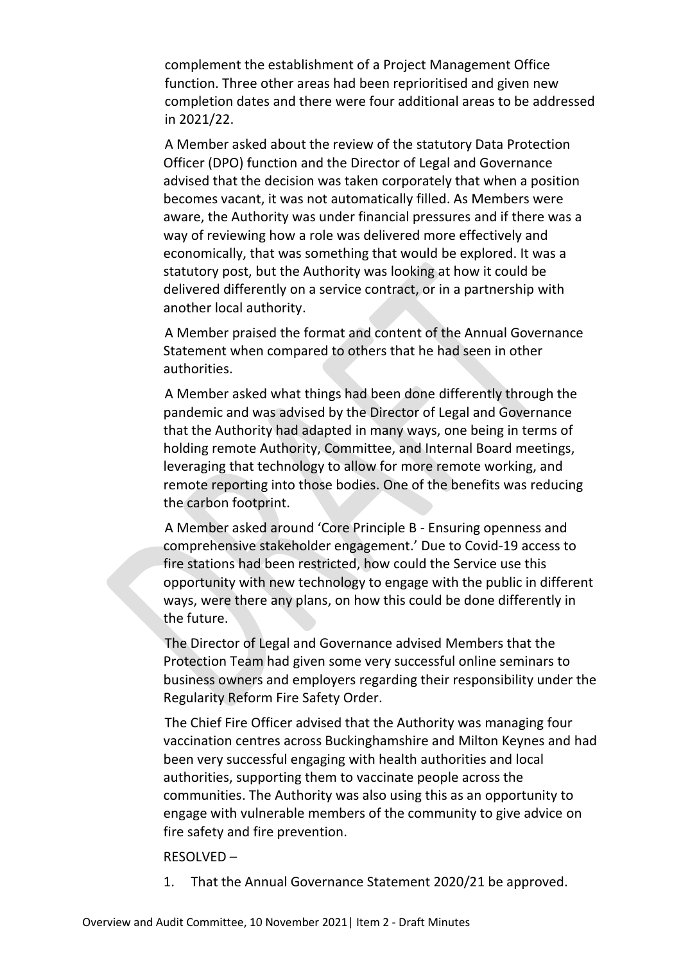complement the establishment of a Project Management Office function. Three other areas had been reprioritised and given new completion dates and there were four additional areas to be addressed in 2021/22.

A Member asked about the review of the statutory Data Protection Officer (DPO) function and the Director of Legal and Governance advised that the decision was taken corporately that when a position becomes vacant, it was not automatically filled. As Members were aware, the Authority was under financial pressures and if there was a way of reviewing how a role was delivered more effectively and economically, that was something that would be explored. It was a statutory post, but the Authority was looking at how it could be delivered differently on a service contract, or in a partnership with another local authority.

A Member praised the format and content of the Annual Governance Statement when compared to others that he had seen in other authorities.

A Member asked what things had been done differently through the pandemic and was advised by the Director of Legal and Governance that the Authority had adapted in many ways, one being in terms of holding remote Authority, Committee, and Internal Board meetings, leveraging that technology to allow for more remote working, and remote reporting into those bodies. One of the benefits was reducing the carbon footprint.

A Member asked around 'Core Principle B - Ensuring openness and comprehensive stakeholder engagement.' Due to Covid-19 access to fire stations had been restricted, how could the Service use this opportunity with new technology to engage with the public in different ways, were there any plans, on how this could be done differently in the future.

The Director of Legal and Governance advised Members that the Protection Team had given some very successful online seminars to business owners and employers regarding their responsibility under the Regularity Reform Fire Safety Order.

The Chief Fire Officer advised that the Authority was managing four vaccination centres across Buckinghamshire and Milton Keynes and had been very successful engaging with health authorities and local authorities, supporting them to vaccinate people across the communities. The Authority was also using this as an opportunity to engage with vulnerable members of the community to give advice on fire safety and fire prevention.

#### RESOLVED –

1. That the Annual Governance Statement 2020/21 be approved.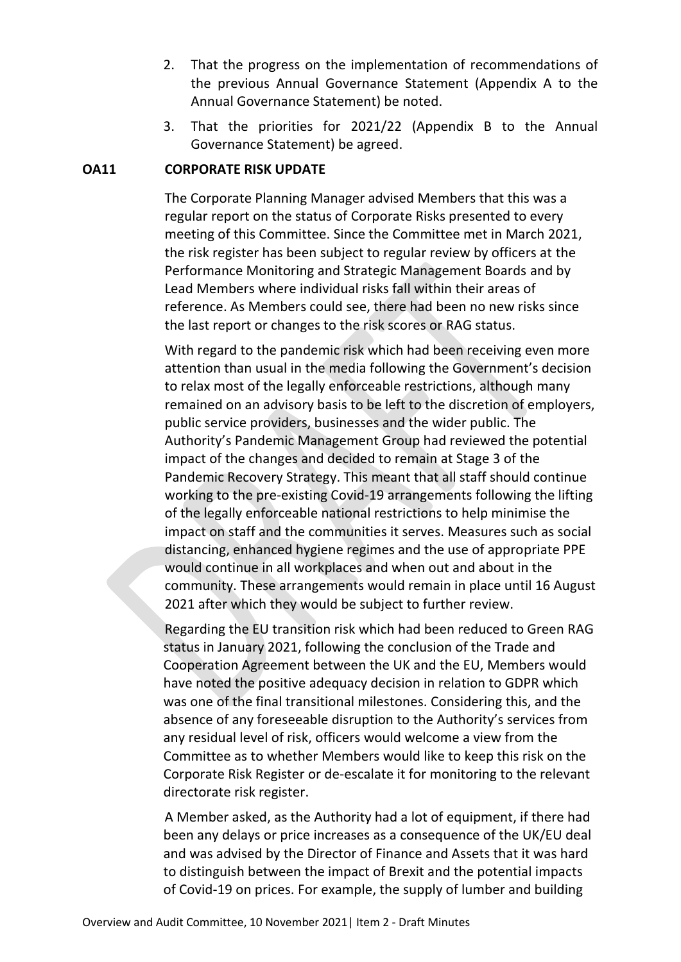- 2. That the progress on the implementation of recommendations of the previous Annual Governance Statement (Appendix A to the Annual Governance Statement) be noted.
- 3. That the priorities for 2021/22 (Appendix B to the Annual Governance Statement) be agreed.

## **OA11 CORPORATE RISK UPDATE**

The Corporate Planning Manager advised Members that this was a regular report on the status of Corporate Risks presented to every meeting of this Committee. Since the Committee met in March 2021, the risk register has been subject to regular review by officers at the Performance Monitoring and Strategic Management Boards and by Lead Members where individual risks fall within their areas of reference. As Members could see, there had been no new risks since the last report or changes to the risk scores or RAG status.

With regard to the pandemic risk which had been receiving even more attention than usual in the media following the Government's decision to relax most of the legally enforceable restrictions, although many remained on an advisory basis to be left to the discretion of employers, public service providers, businesses and the wider public. The Authority's Pandemic Management Group had reviewed the potential impact of the changes and decided to remain at Stage 3 of the Pandemic Recovery Strategy. This meant that all staff should continue working to the pre-existing Covid-19 arrangements following the lifting of the legally enforceable national restrictions to help minimise the impact on staff and the communities it serves. Measures such as social distancing, enhanced hygiene regimes and the use of appropriate PPE would continue in all workplaces and when out and about in the community. These arrangements would remain in place until 16 August 2021 after which they would be subject to further review.

Regarding the EU transition risk which had been reduced to Green RAG status in January 2021, following the conclusion of the Trade and Cooperation Agreement between the UK and the EU, Members would have noted the positive adequacy decision in relation to GDPR which was one of the final transitional milestones. Considering this, and the absence of any foreseeable disruption to the Authority's services from any residual level of risk, officers would welcome a view from the Committee as to whether Members would like to keep this risk on the Corporate Risk Register or de-escalate it for monitoring to the relevant directorate risk register.

A Member asked, as the Authority had a lot of equipment, if there had been any delays or price increases as a consequence of the UK/EU deal and was advised by the Director of Finance and Assets that it was hard to distinguish between the impact of Brexit and the potential impacts of Covid-19 on prices. For example, the supply of lumber and building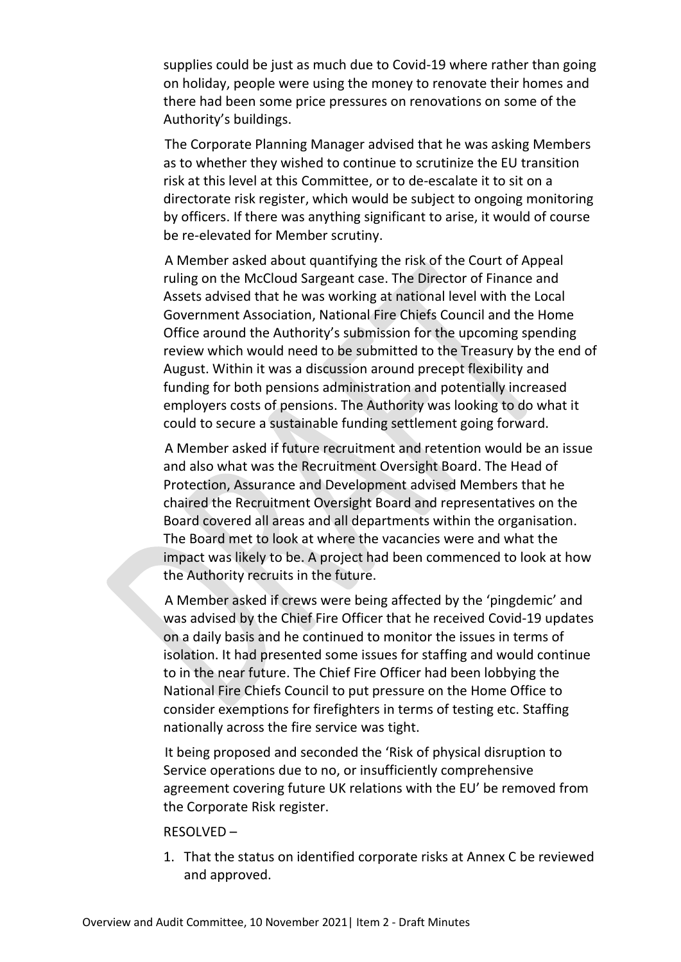supplies could be just as much due to Covid-19 where rather than going on holiday, people were using the money to renovate their homes and there had been some price pressures on renovations on some of the Authority's buildings.

The Corporate Planning Manager advised that he was asking Members as to whether they wished to continue to scrutinize the EU transition risk at this level at this Committee, or to de-escalate it to sit on a directorate risk register, which would be subject to ongoing monitoring by officers. If there was anything significant to arise, it would of course be re-elevated for Member scrutiny.

A Member asked about quantifying the risk of the Court of Appeal ruling on the McCloud Sargeant case. The Director of Finance and Assets advised that he was working at national level with the Local Government Association, National Fire Chiefs Council and the Home Office around the Authority's submission for the upcoming spending review which would need to be submitted to the Treasury by the end of August. Within it was a discussion around precept flexibility and funding for both pensions administration and potentially increased employers costs of pensions. The Authority was looking to do what it could to secure a sustainable funding settlement going forward.

A Member asked if future recruitment and retention would be an issue and also what was the Recruitment Oversight Board. The Head of Protection, Assurance and Development advised Members that he chaired the Recruitment Oversight Board and representatives on the Board covered all areas and all departments within the organisation. The Board met to look at where the vacancies were and what the impact was likely to be. A project had been commenced to look at how the Authority recruits in the future.

A Member asked if crews were being affected by the 'pingdemic' and was advised by the Chief Fire Officer that he received Covid-19 updates on a daily basis and he continued to monitor the issues in terms of isolation. It had presented some issues for staffing and would continue to in the near future. The Chief Fire Officer had been lobbying the National Fire Chiefs Council to put pressure on the Home Office to consider exemptions for firefighters in terms of testing etc. Staffing nationally across the fire service was tight.

It being proposed and seconded the 'Risk of physical disruption to Service operations due to no, or insufficiently comprehensive agreement covering future UK relations with the EU' be removed from the Corporate Risk register.

#### RESOLVED –

1. That the status on identified corporate risks at Annex C be reviewed and approved.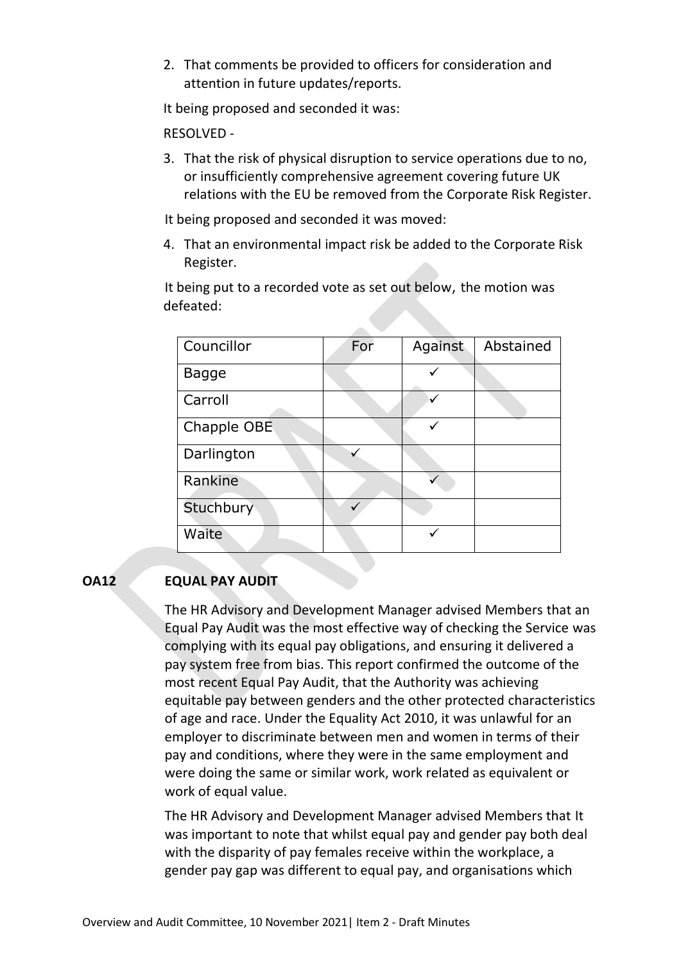2. That comments be provided to officers for consideration and attention in future updates/reports.

It being proposed and seconded it was:

#### RESOLVED -

3. That the risk of physical disruption to service operations due to no, or insufficiently comprehensive agreement covering future UK relations with the EU be removed from the Corporate Risk Register.

It being proposed and seconded it was moved:

4. That an environmental impact risk be added to the Corporate Risk Register.

It being put to a recorded vote as set out below, the motion was defeated:

| Councillor  | For | Against | Abstained |
|-------------|-----|---------|-----------|
| Bagge       |     |         |           |
| Carroll     |     | ✓       |           |
| Chapple OBE |     |         |           |
| Darlington  |     |         |           |
| Rankine     |     |         |           |
| Stuchbury   |     |         |           |
| Waite       |     |         |           |

## **OA12 EQUAL PAY AUDIT**

The HR Advisory and Development Manager advised Members that an Equal Pay Audit was the most effective way of checking the Service was complying with its equal pay obligations, and ensuring it delivered a pay system free from bias. This report confirmed the outcome of the most recent Equal Pay Audit, that the Authority was achieving equitable pay between genders and the other protected characteristics of age and race. Under the Equality Act 2010, it was unlawful for an employer to discriminate between men and women in terms of their pay and conditions, where they were in the same employment and were doing the same or similar work, work related as equivalent or work of equal value.

The HR Advisory and Development Manager advised Members that It was important to note that whilst equal pay and gender pay both deal with the disparity of pay females receive within the workplace, a gender pay gap was different to equal pay, and organisations which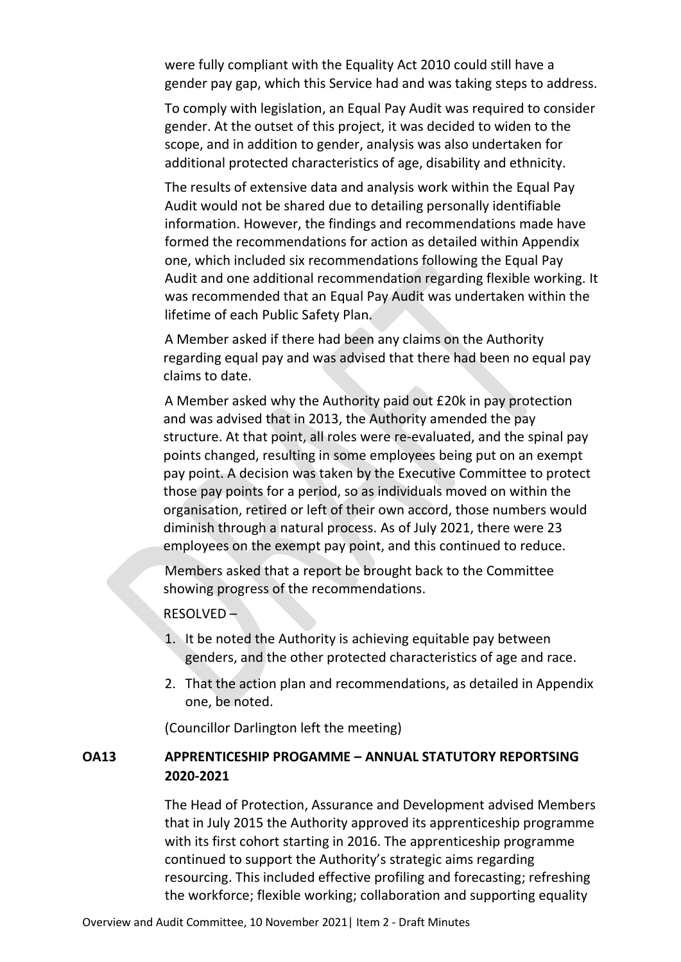were fully compliant with the Equality Act 2010 could still have a gender pay gap, which this Service had and was taking steps to address.

To comply with legislation, an Equal Pay Audit was required to consider gender. At the outset of this project, it was decided to widen to the scope, and in addition to gender, analysis was also undertaken for additional protected characteristics of age, disability and ethnicity.

The results of extensive data and analysis work within the Equal Pay Audit would not be shared due to detailing personally identifiable information. However, the findings and recommendations made have formed the recommendations for action as detailed within Appendix one, which included six recommendations following the Equal Pay Audit and one additional recommendation regarding flexible working. It was recommended that an Equal Pay Audit was undertaken within the lifetime of each Public Safety Plan.

A Member asked if there had been any claims on the Authority regarding equal pay and was advised that there had been no equal pay claims to date.

A Member asked why the Authority paid out £20k in pay protection and was advised that in 2013, the Authority amended the pay structure. At that point, all roles were re-evaluated, and the spinal pay points changed, resulting in some employees being put on an exempt pay point. A decision was taken by the Executive Committee to protect those pay points for a period, so as individuals moved on within the organisation, retired or left of their own accord, those numbers would diminish through a natural process. As of July 2021, there were 23 employees on the exempt pay point, and this continued to reduce.

Members asked that a report be brought back to the Committee showing progress of the recommendations.

#### RESOLVED –

- 1. It be noted the Authority is achieving equitable pay between genders, and the other protected characteristics of age and race.
- 2. That the action plan and recommendations, as detailed in Appendix one, be noted.

(Councillor Darlington left the meeting)

## **OA13 APPRENTICESHIP PROGAMME – ANNUAL STATUTORY REPORTSING 2020-2021**

The Head of Protection, Assurance and Development advised Members that in July 2015 the Authority approved its apprenticeship programme with its first cohort starting in 2016. The apprenticeship programme continued to support the Authority's strategic aims regarding resourcing. This included effective profiling and forecasting; refreshing the workforce; flexible working; collaboration and supporting equality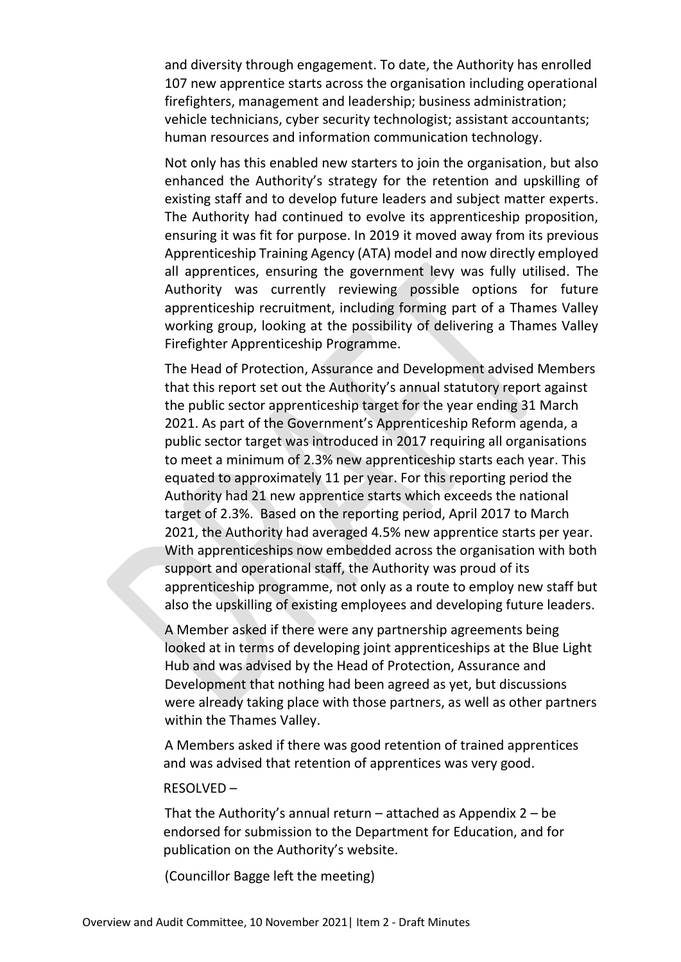and diversity through engagement. To date, the Authority has enrolled 107 new apprentice starts across the organisation including operational firefighters, management and leadership; business administration; vehicle technicians, cyber security technologist; assistant accountants; human resources and information communication technology.

Not only has this enabled new starters to join the organisation, but also enhanced the Authority's strategy for the retention and upskilling of existing staff and to develop future leaders and subject matter experts. The Authority had continued to evolve its apprenticeship proposition, ensuring it was fit for purpose. In 2019 it moved away from its previous Apprenticeship Training Agency (ATA) model and now directly employed all apprentices, ensuring the government levy was fully utilised. The Authority was currently reviewing possible options for future apprenticeship recruitment, including forming part of a Thames Valley working group, looking at the possibility of delivering a Thames Valley Firefighter Apprenticeship Programme.

The Head of Protection, Assurance and Development advised Members that this report set out the Authority's annual statutory report against the public sector apprenticeship target for the year ending 31 March 2021. As part of the Government's Apprenticeship Reform agenda, a public sector target was introduced in 2017 requiring all organisations to meet a minimum of 2.3% new apprenticeship starts each year. This equated to approximately 11 per year. For this reporting period the Authority had 21 new apprentice starts which exceeds the national target of 2.3%. Based on the reporting period, April 2017 to March 2021, the Authority had averaged 4.5% new apprentice starts per year. With apprenticeships now embedded across the organisation with both support and operational staff, the Authority was proud of its apprenticeship programme, not only as a route to employ new staff but also the upskilling of existing employees and developing future leaders.

A Member asked if there were any partnership agreements being looked at in terms of developing joint apprenticeships at the Blue Light Hub and was advised by the Head of Protection, Assurance and Development that nothing had been agreed as yet, but discussions were already taking place with those partners, as well as other partners within the Thames Valley.

A Members asked if there was good retention of trained apprentices and was advised that retention of apprentices was very good.

#### RESOLVED –

That the Authority's annual return  $-$  attached as Appendix  $2 - be$ endorsed for submission to the Department for Education, and for publication on the Authority's website.

(Councillor Bagge left the meeting)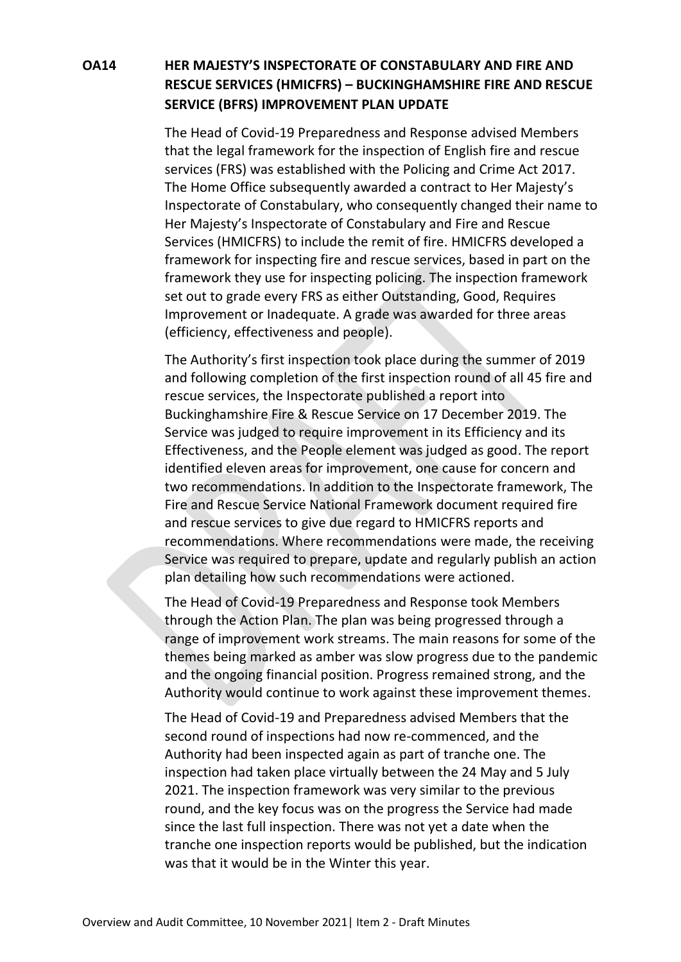# **OA14 HER MAJESTY'S INSPECTORATE OF CONSTABULARY AND FIRE AND RESCUE SERVICES (HMICFRS) – BUCKINGHAMSHIRE FIRE AND RESCUE SERVICE (BFRS) IMPROVEMENT PLAN UPDATE**

The Head of Covid-19 Preparedness and Response advised Members that the legal framework for the inspection of English fire and rescue services (FRS) was established with the Policing and Crime Act 2017. The Home Office subsequently awarded a contract to Her Majesty's Inspectorate of Constabulary, who consequently changed their name to Her Majesty's Inspectorate of Constabulary and Fire and Rescue Services (HMICFRS) to include the remit of fire. HMICFRS developed a framework for inspecting fire and rescue services, based in part on the framework they use for inspecting policing. The inspection framework set out to grade every FRS as either Outstanding, Good, Requires Improvement or Inadequate. A grade was awarded for three areas (efficiency, effectiveness and people).

The Authority's first inspection took place during the summer of 2019 and following completion of the first inspection round of all 45 fire and rescue services, the Inspectorate published a report into Buckinghamshire Fire & Rescue Service on 17 December 2019. The Service was judged to require improvement in its Efficiency and its Effectiveness, and the People element was judged as good. The report identified eleven areas for improvement, one cause for concern and two recommendations. In addition to the Inspectorate framework, The Fire and Rescue Service National Framework document required fire and rescue services to give due regard to HMICFRS reports and recommendations. Where recommendations were made, the receiving Service was required to prepare, update and regularly publish an action plan detailing how such recommendations were actioned.

The Head of Covid-19 Preparedness and Response took Members through the Action Plan. The plan was being progressed through a range of improvement work streams. The main reasons for some of the themes being marked as amber was slow progress due to the pandemic and the ongoing financial position. Progress remained strong, and the Authority would continue to work against these improvement themes.

The Head of Covid-19 and Preparedness advised Members that the second round of inspections had now re-commenced, and the Authority had been inspected again as part of tranche one. The inspection had taken place virtually between the 24 May and 5 July 2021. The inspection framework was very similar to the previous round, and the key focus was on the progress the Service had made since the last full inspection. There was not yet a date when the tranche one inspection reports would be published, but the indication was that it would be in the Winter this year.